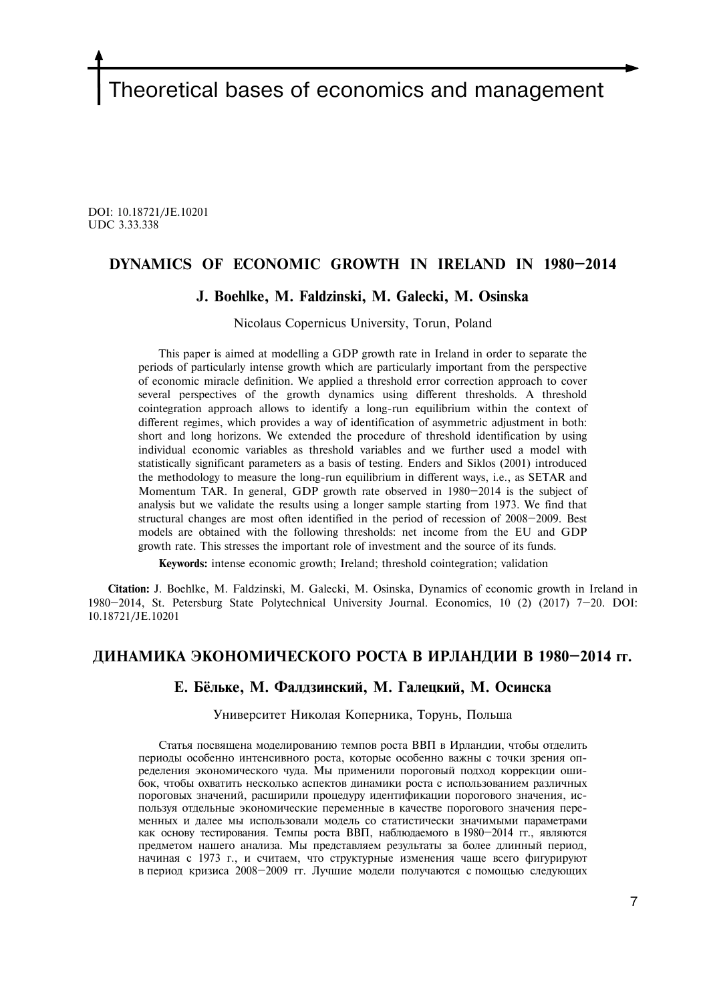# Theoretical bases of economics and management

DOI: 10.18721/JE.10201 UDC 3.33.338

# **DYNAMICS OF ECONOMIC GROWTH IN IRELAND IN 1980—2014**

## **J. Boehlke, M. Faldzinski, M. Galecki, М. Osinska**

Nicolaus Copernicus University, Torun, Poland

This paper is aimed at modelling a GDP growth rate in Ireland in order to separate the periods of particularly intense growth which are particularly important from the perspective of economic miracle definition. We applied a threshold error correction approach to cover several perspectives of the growth dynamics using different thresholds. A threshold cointegration approach allows to identify a long-run equilibrium within the context of different regimes, which provides a way of identification of asymmetric adjustment in both: short and long horizons. We extended the procedure of threshold identification by using individual economic variables as threshold variables and we further used a model with statistically significant parameters as a basis of testing. Enders and Siklos (2001) introduced the methodology to measure the long-run equilibrium in different ways, i.e., as SETAR and Momentum TAR. In general, GDP growth rate observed in 1980—2014 is the subject of analysis but we validate the results using a longer sample starting from 1973. We find that structural changes are most often identified in the period of recession of 2008—2009. Best models are obtained with the following thresholds: net income from the EU and GDP growth rate. This stresses the important role of investment and the source of its funds.

**Keywords:** intense economic growth; Ireland; threshold cointegration; validation

**Citation:** J. Boehlke, M. Faldzinski, M. Galecki, М. Osinska, Dynamics of economic growth in Ireland in 1980—2014, St. Petersburg State Polytechnical University Journal. Economics, 10 (2) (2017) 7—20. DOI: 10.18721/JE.10201

# **ДИНАМИКА ЭКОНОМИЧЕСКОГО РОСТА В ИРЛАНДИИ В 1980—2014 гг.**

#### **Е. Бёльêе, M. Фалдзинский, M. Галецкий, М. Осинска**

Университет Николая Коперника, Торунь, Польша

Статья посвящена моделированию темпов роста ВВП в Ирландии, чтобы отделить периоды особенно интенсивного роста, которые особенно важны с точки зрения определения экономического чуда. Мы применили пороговый подход коррекции ошибок, чтобы охватить несколько аспектов динамики роста с использованием различных пороговых значений, расширили процедуру идентификации порогового значения, используя отдельные экономические переменные в качестве порогового значения переменных и далее мы использовали модель со статистически значимыми параметрами как основу тестирования. Темпы роста ВВП, наблюдаемого в 1980—2014 гг., являются предметом нашего анализа. Мы представляем результаты за более длинный период, начиная с 1973 г., и считаем, что структурные изменения чаще всего фигурируют в период кризиса 2008—2009 гг. Лучшие модели получаются с помощью следующих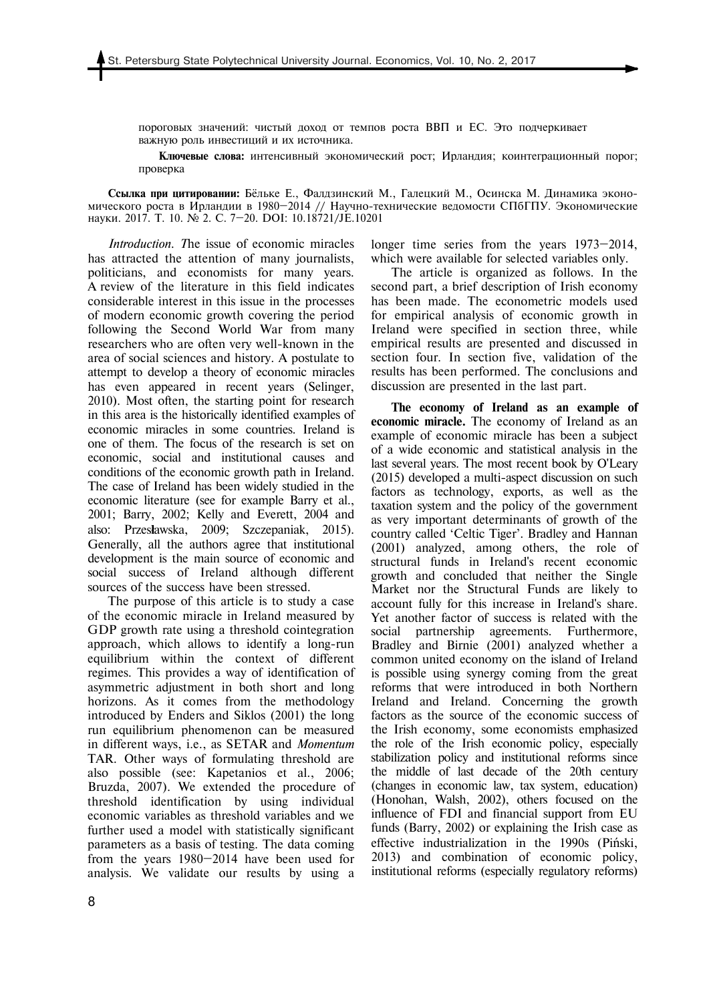пороговых значений: чистый доход от темпов роста ВВП и ЕС. Это подчеркивает важную роль инвестиций и их источника.

**Ключевые слова:** интенсивный экономический рост; Ирландия; коинтеграционный порог; проверка

**Сcылка при цитировании:** Бёльêе Е., Фалдзинский M., Галецкий M., Осинска М. Динамика экономического роста в Ирландии в 1980—2014 // Научно-технические ведомости СПбГПУ. Экономические науки. 2017. Т. 10. № 2. С. 7—20. DOI: 10.18721/JE.10201

*Introduction. T*he issue of economic miracles has attracted the attention of many journalists, politicians, and economists for many years. A review of the literature in this field indicates considerable interest in this issue in the processes of modern economic growth covering the period following the Second World War from many researchers who are often very well-known in the area of social sciences and history. A postulate to attempt to develop a theory of economic miracles has even appeared in recent years (Selinger, 2010). Most often, the starting point for research in this area is the historically identified examples of economic miracles in some countries. Ireland is one of them. The focus of the research is set on economic, social and institutional causes and conditions of the economic growth path in Ireland. The case of Ireland has been widely studied in the economic literature (see for example Barry et al., 2001; Barry, 2002; Kelly and Everett, 2004 and also: Przes**ł**awska, 2009; Szczepaniak, 2015). Generally, all the authors agree that institutional development is the main source of economic and social success of Ireland although different sources of the success have been stressed.

The purpose of this article is to study a case of the economic miracle in Ireland measured by GDP growth rate using a threshold cointegration approach, which allows to identify a long-run equilibrium within the context of different regimes. This provides a way of identification of asymmetric adjustment in both short and long horizons. As it comes from the methodology introduced by Enders and Siklos (2001) the long run equilibrium phenomenon can be measured in different ways, i.e., as SETAR and *Momentum* TAR. Other ways of formulating threshold are also possible (see: Kapetanios et al., 2006; Bruzda, 2007). We extended the procedure of threshold identification by using individual economic variables as threshold variables and we further used a model with statistically significant parameters as a basis of testing. The data coming from the years 1980—2014 have been used for analysis. We validate our results by using a longer time series from the years 1973–2014, which were available for selected variables only.

The article is organized as follows. In the second part, a brief description of Irish economy has been made. The econometric models used for empirical analysis of economic growth in Ireland were specified in section three, while empirical results are presented and discussed in section four. In section five, validation of the results has been performed. The conclusions and discussion are presented in the last part.

**The economy of Ireland as an example of economic miracle.** The economy of Ireland as an example of economic miracle has been a subject of a wide economic and statistical analysis in the last several years. The most recent book by O'Leary (2015) developed a multi-aspect discussion on such factors as technology, exports, as well as the taxation system and the policy of the government as very important determinants of growth of the country called 'Celtic Tiger'. Bradley and Hannan (2001) analyzed, among others, the role of structural funds in Ireland's recent economic growth and concluded that neither the Single Market nor the Structural Funds are likely to account fully for this increase in Ireland's share. Yet another factor of success is related with the social partnership agreements. Furthermore, Bradley and Birnie (2001) analyzed whether a common united economy on the island of Ireland is possible using synergy coming from the great reforms that were introduced in both Northern Ireland and Ireland. Concerning the growth factors as the source of the economic success of the Irish economy, some economists emphasized the role of the Irish economic policy, especially stabilization policy and institutional reforms since the middle of last decade of the 20th century (changes in economic law, tax system, education) (Honohan, Walsh, 2002), others focused on the influence of FDI and financial support from EU funds (Barry, 2002) or explaining the Irish case as effective industrialization in the 1990s (Piński, 2013) and combination of economic policy, institutional reforms (especially regulatory reforms)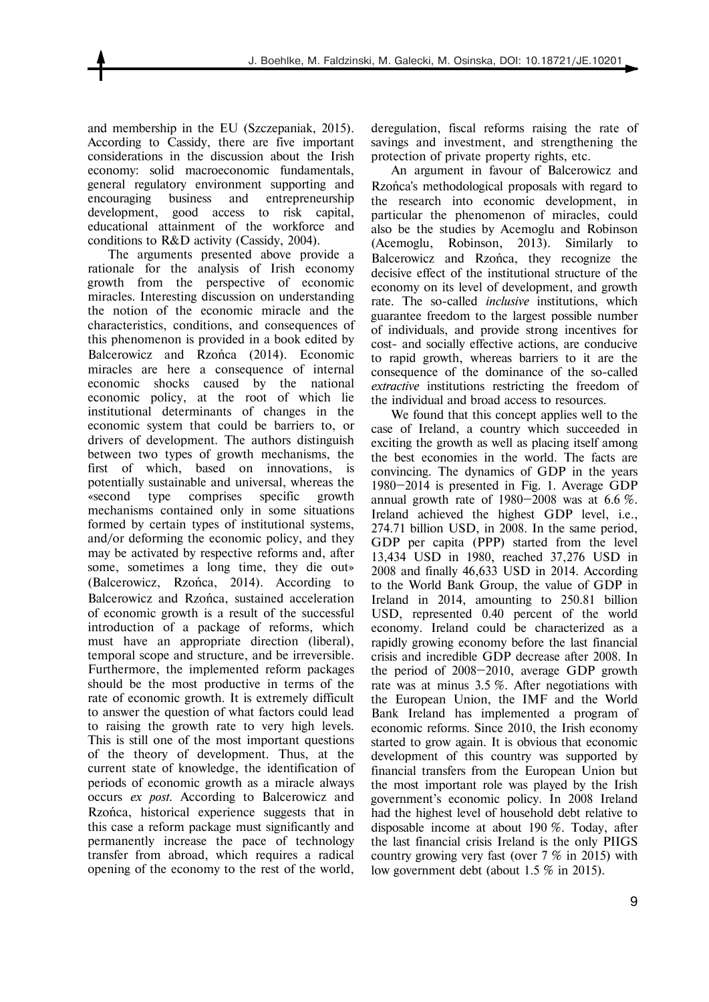and membership in the EU (Szczepaniak, 2015). According to Cassidy, there are five important considerations in the discussion about the Irish economy: solid macroeconomic fundamentals, general regulatory environment supporting and encouraging business and entrepreneurship development, good access to risk capital, educational attainment of the workforce and conditions to R&D activity (Cassidy, 2004).

The arguments presented above provide a rationale for the analysis of Irish economy growth from the perspective of economic miracles. Interesting discussion on understanding the notion of the economic miracle and the characteristics, conditions, and consequences of this phenomenon is provided in a book edited by Balcerowicz and Rzońca (2014). Economic miracles are here a consequence of internal economic shocks caused by the national economic policy, at the root of which lie institutional determinants of changes in the economic system that could be barriers to, or drivers of development. The authors distinguish between two types of growth mechanisms, the first of which, based on innovations, is potentially sustainable and universal, whereas the «second type comprises specific growth mechanisms contained only in some situations formed by certain types of institutional systems, and/or deforming the economic policy, and they may be activated by respective reforms and, after some, sometimes a long time, they die out» (Balcerowicz, Rzońca, 2014). According to Balcerowicz and Rzońca, sustained acceleration of economic growth is a result of the successful introduction of a package of reforms, which must have an appropriate direction (liberal), temporal scope and structure, and be irreversible. Furthermore, the implemented reform packages should be the most productive in terms of the rate of economic growth. It is extremely difficult to answer the question of what factors could lead to raising the growth rate to very high levels. This is still one of the most important questions of the theory of development. Thus, at the current state of knowledge, the identification of periods of economic growth as a miracle always occurs *ex post*. According to Balcerowicz and Rzońca, historical experience suggests that in this case a reform package must significantly and permanently increase the pace of technology transfer from abroad, which requires a radical opening of the economy to the rest of the world,

deregulation, fiscal reforms raising the rate of savings and investment, and strengthening the protection of private property rights, etc.

An argument in favour of Balcerowicz and Rzońca's methodological proposals with regard to the research into economic development, in particular the phenomenon of miracles, could also be the studies by Acemoglu and Robinson (Acemoglu, Robinson, 2013). Similarly to Balcerowicz and Rzońca, they recognize the decisive effect of the institutional structure of the economy on its level of development, and growth rate. The so-called *inclusive* institutions, which guarantee freedom to the largest possible number of individuals, and provide strong incentives for cost- and socially effective actions, are conducive to rapid growth, whereas barriers to it are the consequence of the dominance of the so-called *extractive* institutions restricting the freedom of the individual and broad access to resources.

We found that this concept applies well to the case of Ireland, a country which succeeded in exciting the growth as well as placing itself among the best economies in the world. The facts are convincing. The dynamics of GDP in the years 1980—2014 is presented in Fig. 1. Average GDP annual growth rate of 1980—2008 was at 6.6 %. Ireland achieved the highest GDP level, i.e., 274.71 billion USD, in 2008. In the same period, GDP per capita (PPP) started from the level 13,434 USD in 1980, reached 37,276 USD in 2008 and finally 46,633 USD in 2014. According to the World Bank Group, the value of GDP in Ireland in 2014, amounting to 250.81 billion USD, represented 0.40 percent of the world economy. Ireland could be characterized as a rapidly growing economy before the last financial crisis and incredible GDP decrease after 2008. In the period of 2008—2010, average GDP growth rate was at minus 3.5 %. After negotiations with the European Union, the IMF and the World Bank Ireland has implemented a program of economic reforms. Since 2010, the Irish economy started to grow again. It is obvious that economic development of this country was supported by financial transfers from the European Union but the most important role was played by the Irish government's economic policy. In 2008 Ireland had the highest level of household debt relative to disposable income at about 190 %. Today, after the last financial crisis Ireland is the only PIIGS country growing very fast (over 7 % in 2015) with low government debt (about 1.5 % in 2015).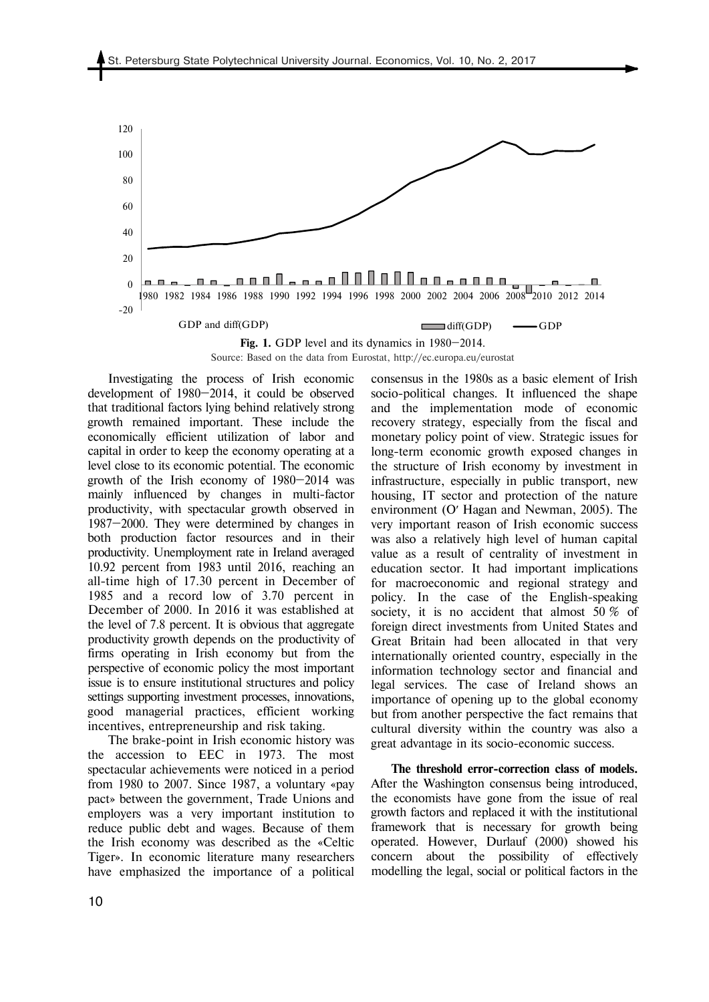

Source: Based on the data from Eurostat, http://ec.europa.eu/eurostat

Investigating the process of Irish economic development of 1980—2014, it could be observed that traditional factors lying behind relatively strong growth remained important. These include the economically efficient utilization of labor and capital in order to keep the economy operating at a level close to its economic potential. The economic growth of the Irish economy of 1980—2014 was mainly influenced by changes in multi-factor productivity, with spectacular growth observed in 1987—2000. They were determined by changes in both production factor resources and in their productivity. Unemployment rate in Ireland averaged 10.92 percent from 1983 until 2016, reaching an all-time high of 17.30 percent in December of 1985 and a record low of 3.70 percent in December of 2000. In 2016 it was established at the level of 7.8 percent. It is obvious that aggregate productivity growth depends on the productivity of firms operating in Irish economy but from the perspective of economic policy the most important issue is to ensure institutional structures and policy settings supporting investment processes, innovations, good managerial practices, efficient working incentives, entrepreneurship and risk taking.

The brake-point in Irish economic history was the accession to EEC in 1973. The most spectacular achievements were noticed in a period from 1980 to 2007. Since 1987, a voluntary «pay pact» between the government, Trade Unions and employers was a very important institution to reduce public debt and wages. Because of them the Irish economy was described as the «Celtic Tiger». In economic literature many researchers have emphasized the importance of a political consensus in the 1980s as a basic element of Irish socio-political changes. It influenced the shape and the implementation mode of economic recovery strategy, especially from the fiscal and monetary policy point of view. Strategic issues for long-term economic growth exposed changes in the structure of Irish economy by investment in infrastructure, especially in public transport, new housing, IT sector and protection of the nature environment (O′ Hagan and Newman, 2005). The very important reason of Irish economic success was also a relatively high level of human capital value as a result of centrality of investment in education sector. It had important implications for macroeconomic and regional strategy and policy. In the case of the English-speaking society, it is no accident that almost 50 % of foreign direct investments from United States and Great Britain had been allocated in that very internationally oriented country, especially in the information technology sector and financial and legal services. The case of Ireland shows an importance of opening up to the global economy but from another perspective the fact remains that cultural diversity within the country was also a great advantage in its socio-economic success.

**The threshold error-correction class of models.**  After the Washington consensus being introduced, the economists have gone from the issue of real growth factors and replaced it with the institutional framework that is necessary for growth being operated. However, Durlauf (2000) showed his concern about the possibility of effectively modelling the legal, social or political factors in the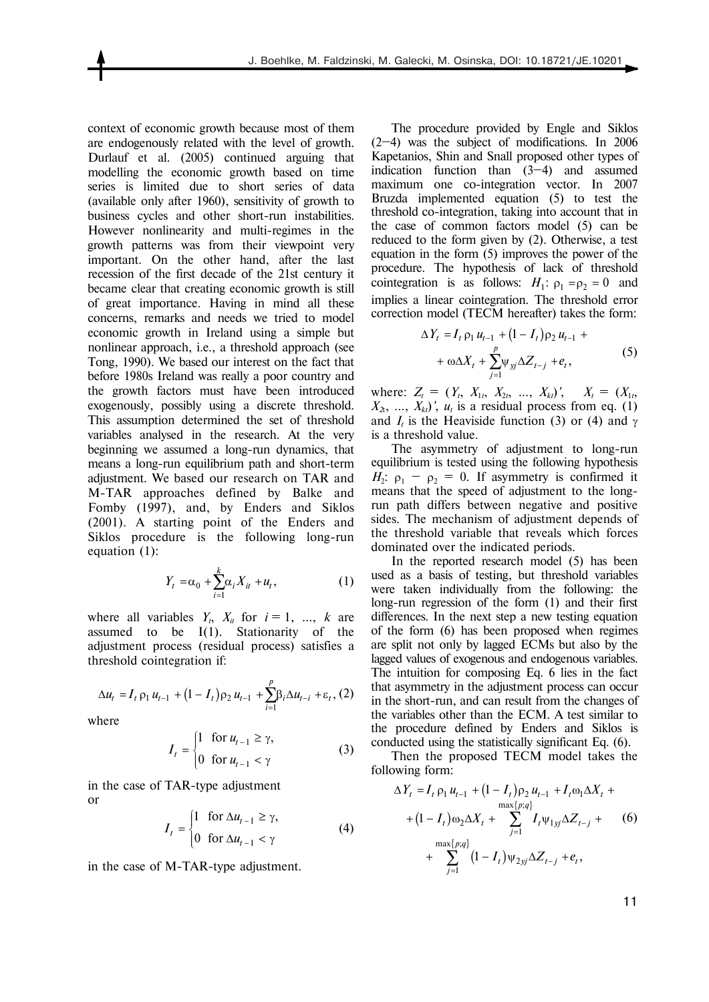context of economic growth because most of them are endogenously related with the level of growth. Durlauf et al. (2005) continued arguing that modelling the economic growth based on time series is limited due to short series of data (available only after 1960), sensitivity of growth to business cycles and other short-run instabilities. However nonlinearity and multi-regimes in the growth patterns was from their viewpoint very important. On the other hand, after the last recession of the first decade of the 21st century it became clear that creating economic growth is still of great importance. Having in mind all these concerns, remarks and needs we tried to model economic growth in Ireland using a simple but nonlinear approach, i.e., a threshold approach (see Tong, 1990). We based our interest on the fact that before 1980s Ireland was really a poor country and the growth factors must have been introduced exogenously, possibly using a discrete threshold. This assumption determined the set of threshold variables analysed in the research. At the very beginning we assumed a long-run dynamics, that means a long-run equilibrium path and short-term adjustment. We based our research on TAR and M-TAR approaches defined by Balke and Fomby (1997), and, by Enders and Siklos (2001). A starting point of the Enders and Siklos procedure is the following long-run equation (1):

$$
Y_t = \alpha_0 + \sum_{i=1}^k \alpha_i X_{it} + u_t, \qquad (1)
$$

where all variables  $Y_t$ ,  $X_t$  for  $i = 1, ..., k$  are assumed to be I(1). Stationarity of the adjustment process (residual process) satisfies a threshold cointegration if:

$$
\Delta u_t = I_t \, \rho_1 \, u_{t-1} + (1 - I_t) \rho_2 \, u_{t-1} + \sum_{i=1}^p \beta_i \Delta u_{t-i} + \varepsilon_t, \, (2)
$$

where

$$
I_t = \begin{cases} 1 & \text{for } u_{t-1} \ge \gamma, \\ 0 & \text{for } u_{t-1} < \gamma \end{cases}
$$
 (3)

in the case of TAR-type adjustment or

$$
I_{t} = \begin{cases} 1 & \text{for } \Delta u_{t-1} \ge \gamma, \\ 0 & \text{for } \Delta u_{t-1} < \gamma \end{cases}
$$
 (4)

in the case of M-TAR-type adjustment.

The procedure provided by Engle and Siklos (2—4) was the subject of modifications. In 2006 Kapetanios, Shin and Snall proposed other types of indication function than (3—4) and assumed maximum one co-integration vector. In 2007 Bruzda implemented equation (5) to test the threshold co-integration, taking into account that in the case of common factors model (5) can be reduced to the form given by (2). Otherwise, a test equation in the form (5) improves the power of the procedure. The hypothesis of lack of threshold cointegration is as follows:  $H_1: \rho_1 = \rho_2 = 0$  and implies a linear cointegration. The threshold error correction model (TECM hereafter) takes the form:

$$
\Delta Y_{t} = I_{t} \rho_{1} u_{t-1} + (1 - I_{t}) \rho_{2} u_{t-1} + + \omega \Delta X_{t} + \sum_{j=1}^{p} \psi_{jj} \Delta Z_{t-j} + e_{t},
$$
\n(5)

where:  $Z_t = (Y_t, X_{1t}, X_{2t}, ..., X_{kt})'$ ,  $X_t = (X_{1t}, X_{1t})'$  $X_{2t}$ , ...,  $X_{kt}$ , *u<sub>t</sub>* is a residual process from eq. (1) and  $I_t$  is the Heaviside function (3) or (4) and  $\gamma$ is a threshold value.

The asymmetry of adjustment to long-run equilibrium is tested using the following hypothesis  $H_2$ :  $\rho_1 - \rho_2 = 0$ . If asymmetry is confirmed it means that the speed of adjustment to the longrun path differs between negative and positive sides. The mechanism of adjustment depends of the threshold variable that reveals which forces dominated over the indicated periods.

In the reported research model (5) has been used as a basis of testing, but threshold variables were taken individually from the following: the long-run regression of the form (1) and their first differences. In the next step a new testing equation of the form (6) has been proposed when regimes are split not only by lagged ECMs but also by the lagged values of exogenous and endogenous variables. The intuition for composing Eq. 6 lies in the fact that asymmetry in the adjustment process can occur in the short-run, and can result from the changes of the variables other than the ECM. A test similar to the procedure defined by Enders and Siklos is conducted using the statistically significant Eq. (6).

Then the proposed TECM model takes the following form:

$$
\Delta Y_{t} = I_{t} \rho_{1} u_{t-1} + (1 - I_{t}) \rho_{2} u_{t-1} + I_{t} \omega_{1} \Delta X_{t} +
$$
  
+ 
$$
(1 - I_{t}) \omega_{2} \Delta X_{t} + \sum_{j=1}^{\max\{p;q\}} I_{t} \psi_{1yj} \Delta Z_{t-j} +
$$
 (6)  
+ 
$$
\sum_{j=1}^{\max\{p;q\}} (1 - I_{t}) \psi_{2yj} \Delta Z_{t-j} + e_{t},
$$

11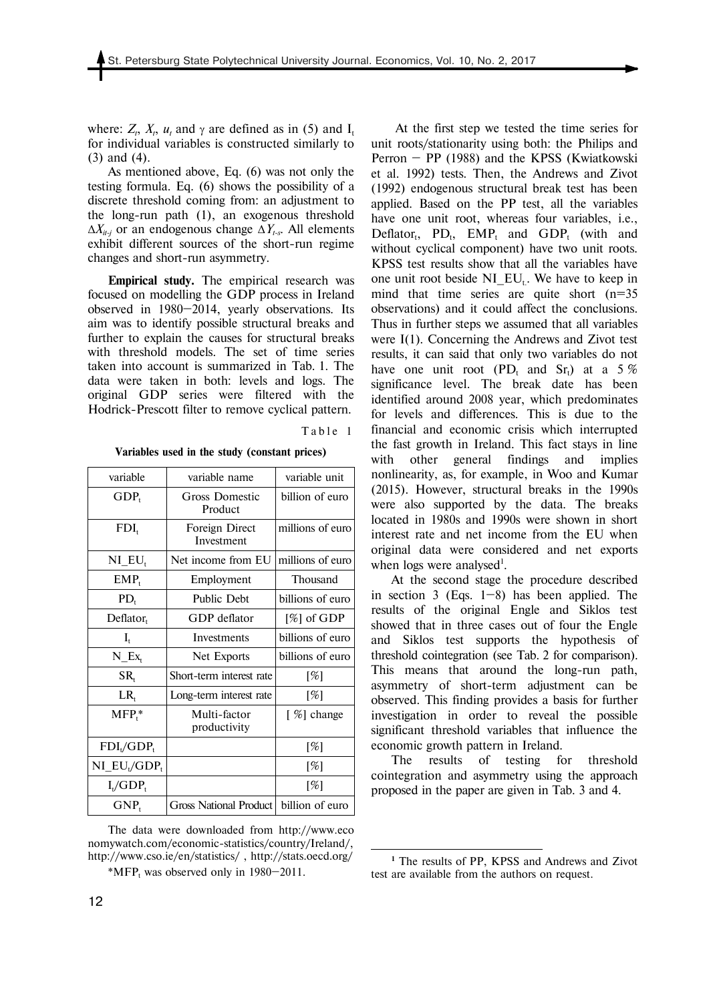where:  $Z_t$ ,  $X_t$ ,  $u_t$  and  $\gamma$  are defined as in (5) and  $I_t$ for individual variables is constructed similarly to (3) and (4).

As mentioned above, Eq. (6) was not only the testing formula. Eq. (6) shows the possibility of a discrete threshold coming from: an adjustment to the long-run path (1), an exogenous threshold  $\Delta X_{it-1}$  or an endogenous change  $\Delta Y_{t-s}$ . All elements exhibit different sources of the short-run regime changes and short-run asymmetry.

**Empirical study.** The empirical research was focused on modelling the GDP process in Ireland observed in 1980—2014, yearly observations. Its aim was to identify possible structural breaks and further to explain the causes for structural breaks with threshold models. The set of time series taken into account is summarized in Tab. 1. The data were taken in both: levels and logs. The original GDP series were filtered with the Hodrick-Prescott filter to remove cyclical pattern.

Table 1

1

**Variables used in the study (constant prices)** 

| variable                                               | variable name                | variable unit    |
|--------------------------------------------------------|------------------------------|------------------|
| $GDP_t$                                                | Gross Domestic<br>Product    | billion of euro  |
| $FDI_t$                                                | Foreign Direct<br>Investment | millions of euro |
| $NI$ $EU_t$                                            | Net income from EU           | millions of euro |
| $EMP_t$                                                | Employment                   | Thousand         |
| $PD_{t}$                                               | Public Debt                  | billions of euro |
| $Deflator_t$                                           | GDP deflator                 | $[\%]$ of GDP    |
| $I_t$                                                  | Investments                  | billions of euro |
| $N_{\perp}$ $Ex_{t}$                                   | Net Exports                  | billions of euro |
| $SR_{t}$                                               | Short-term interest rate     | $[\%]$           |
| $LR_{t}$                                               | Long-term interest rate      | $[\%]$           |
| $MFP_t^*$                                              | Multi-factor<br>productivity | [%] change       |
| $FDI_t/GDP_t$                                          |                              | $[\%]$           |
| $NI$ <sub>L</sub> $EU$ <sub>t</sub> $GDP$ <sub>t</sub> |                              | $[\%]$           |
| $I_{t}/GDP_{t}$                                        |                              | $[\%]$           |
| $GNP_t$                                                | Gross National Product       | billion of euro  |

The data were downloaded from http://www.eco nomywatch.com/economic-statistics/country/Ireland/, http://www.cso.ie/en/statistics/ , http://stats.oecd.org/

 $*MFP_t$  was observed only in 1980–2011.

 At the first step we tested the time series for unit roots/stationarity using both: the Philips and Perron — PP (1988) and the KPSS (Kwiatkowski et al. 1992) tests. Then, the Andrews and Zivot (1992) endogenous structural break test has been applied. Based on the PP test, all the variables have one unit root, whereas four variables, i.e., Deflator<sub>t</sub>,  $PD_t$ ,  $EMP_t$  and  $GDP_t$  (with and without cyclical component) have two unit roots. KPSS test results show that all the variables have one unit root beside NI  $EU_t$ . We have to keep in mind that time series are quite short (n=35) observations) and it could affect the conclusions. Thus in further steps we assumed that all variables were I(1). Concerning the Andrews and Zivot test results, it can said that only two variables do not have one unit root (PD<sub>t</sub> and Sr<sub>t</sub>) at a 5 % significance level. The break date has been identified around 2008 year, which predominates for levels and differences. This is due to the financial and economic crisis which interrupted the fast growth in Ireland. This fact stays in line with other general findings and implies nonlinearity, as, for example, in Woo and Kumar (2015). However, structural breaks in the 1990s were also supported by the data. The breaks located in 1980s and 1990s were shown in short interest rate and net income from the EU when original data were considered and net exports when logs were analysed<sup>1</sup>.

At the second stage the procedure described in section 3 (Eqs.  $1-8$ ) has been applied. The results of the original Engle and Siklos test showed that in three cases out of four the Engle and Siklos test supports the hypothesis of threshold cointegration (see Tab. 2 for comparison). This means that around the long-run path, asymmetry of short-term adjustment can be observed. This finding provides a basis for further investigation in order to reveal the possible significant threshold variables that influence the economic growth pattern in Ireland.

The results of testing for threshold cointegration and asymmetry using the approach proposed in the paper are given in Tab. 3 and 4.

**<sup>1</sup>** The results of PP, KPSS and Andrews and Zivot test are available from the authors on request.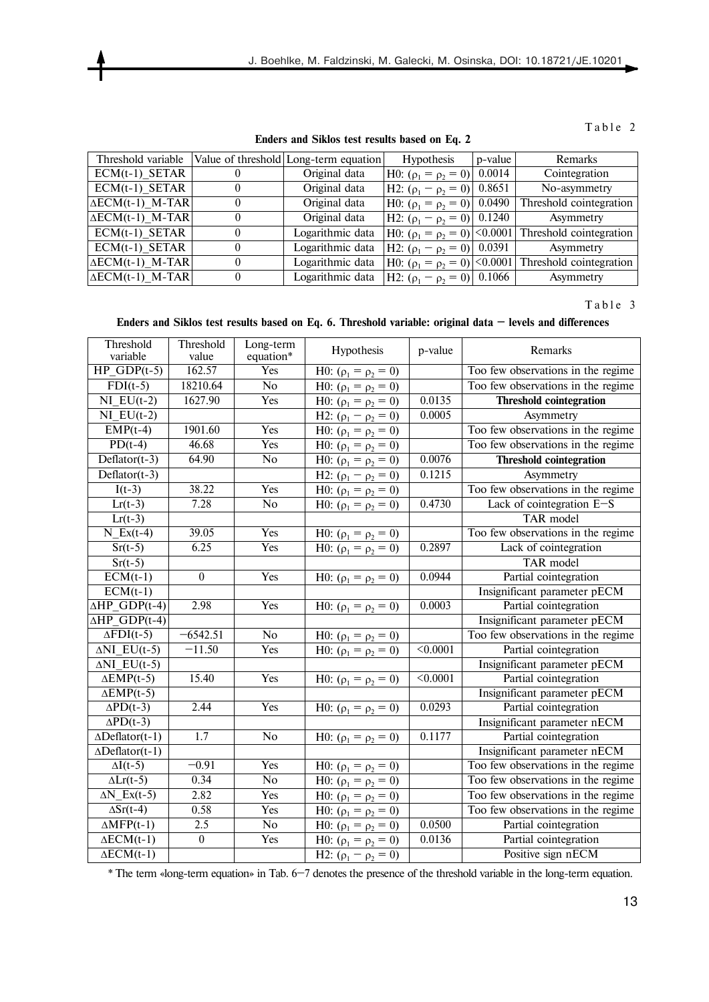**Enders and Siklos test results based on Eq. 2** 

| Threshold variable         |          | Value of threshold Long-term equation | <b>Hypothesis</b>                    | p-value | <b>Remarks</b>          |
|----------------------------|----------|---------------------------------------|--------------------------------------|---------|-------------------------|
| $ECM(t-1)$ SETAR           |          | Original data                         | H0: $(\rho_1 = \rho_2 = 0)$ 0.0014   |         | Cointegration           |
| $ECM(t-1)$ SETAR           |          | Original data                         | H2: $(\rho_1 - \rho_2 = 0)$ 0.8651   |         | No-asymmetry            |
| $\triangle ECM(t-1)$ M-TAR |          | Original data                         | H0: $(\rho_1 = \rho_2 = 0)$ 0.0490   |         | Threshold cointegration |
| $\triangle ECM(t-1)$ M-TAR |          | Original data                         | H2: $(\rho_1 - \rho_2 = 0)$ 0.1240   |         | Asymmetry               |
| $ECM(t-1)$ SETAR           |          | Logarithmic data                      | H0: $(\rho_1 = \rho_2 = 0)$ < 0.0001 |         | Threshold cointegration |
| $ECM(t-1)$ SETAR           |          | Logarithmic data                      | H2: $(\rho_1 - \rho_2 = 0)$ 0.0391   |         | Asymmetry               |
| $\triangle ECM(t-1)$ M-TAR | $\theta$ | Logarithmic data                      | H0: $(\rho_1 = \rho_2 = 0)$ < 0.0001 |         | Threshold cointegration |
| $\triangle ECM(t-1)$ M-TAR | $\theta$ | Logarithmic data                      | H2: $(\rho_1 - \rho_2 = 0)$ 0.1066   |         | Asymmetry               |

Table 3

## **Enders and Siklos test results based on Eq. 6. Threshold variable: original data — levels and differences**

| Threshold<br>variable                 | Threshold<br>value | Long-term<br>equation* | Hypothesis                                | p-value             | Remarks                            |
|---------------------------------------|--------------------|------------------------|-------------------------------------------|---------------------|------------------------------------|
| $\overline{\text{HP}}$ GDP(t-5)       | 162.57             | Yes                    | H0: $(\rho_1 = \rho_2 = 0)$               |                     | Too few observations in the regime |
| $FDI(t-5)$                            | 18210.64           | $\overline{No}$        | H0: $(\rho_1 = \rho_2 = 0)$               |                     | Too few observations in the regime |
| $\overline{\text{NI}_E\text{U}(t-2)}$ | 1627.90            | Yes                    | H0: $(\rho_1 = \rho_2 = 0)$               | 0.0135              | <b>Threshold cointegration</b>     |
| $NI$ $EU(t-2)$                        |                    |                        | $\overline{H}$ 2: $(\rho_1 - \rho_2 = 0)$ | 0.0005              | Asymmetry                          |
| $EMP(t-4)$                            | 1901.60            | Yes                    | H0: $(\rho_1 = \rho_2 = 0)$               |                     | Too few observations in the regime |
| $PD(t-4)$                             | 46.68              | Yes                    | H0: $(\rho_1 = \rho_2 = 0)$               |                     | Too few observations in the regime |
| $\overline{\text{Deflator}(t-3)}$     | 64.90              | No                     | H0: $(\rho_1 = \rho_2 = 0)$               | 0.0076              | <b>Threshold cointegration</b>     |
| $Deflator(t-3)$                       |                    |                        | H2: $(\rho_1 - \rho_2 = 0)$               | 0.1215              | Asymmetry                          |
| $I(t-3)$                              | 38.22              | Yes                    | H0: $(\rho_1 = \rho_2 = 0)$               |                     | Too few observations in the regime |
| $Lr(t-3)$                             | 7.28               | No                     | H0: $(\rho_1 = \rho_2 = 0)$               | 0.4730              | Lack of cointegration E-S          |
| $Lr(t-3)$                             |                    |                        |                                           |                     | TAR model                          |
| $N_{\_Ex(t-4)}$                       | 39.05              | Yes                    | H0: $(\rho_1 = \rho_2 = 0)$               |                     | Too few observations in the regime |
| $Sr(t-5)$                             | 6.25               | Yes                    | H0: $(\rho_1 = \rho_2 = 0)$               | 0.2897              | Lack of cointegration              |
| $Sr(t-5)$                             |                    |                        |                                           |                     | TAR model                          |
| $ECM(t-1)$                            | $\boldsymbol{0}$   | Yes                    | H0: $(\rho_1 = \rho_2 = 0)$               | 0.0944              | Partial cointegration              |
| $ECM(t-1)$                            |                    |                        |                                           |                     | Insignificant parameter pECM       |
| $\Delta HP$ <sub>_</sub> GDP(t-4)     | 2.98               | Yes                    | H0: $(\rho_1 = \rho_2 = 0)$               | 0.0003              | Partial cointegration              |
| $\triangle HP$ GDP(t-4)               |                    |                        |                                           |                     | Insignificant parameter pECM       |
| $\Delta$ FDI(t-5)                     | $-6542.51$         | No                     | H0: $(\rho_1 = \rho_2 = 0)$               |                     | Too few observations in the regime |
| $\overline{\Delta NI\_EU(t-5)}$       | $-11.50$           | Yes                    | H0: $(\rho_1 = \rho_2 = 0)$               | $\overline{0.0001}$ | Partial cointegration              |
| $\triangle NI$ EU(t-5)                |                    |                        |                                           |                     | Insignificant parameter pECM       |
| $\triangle EMP(t-5)$                  | 15.40              | Yes                    | H0: $(\rho_1 = \rho_2 = 0)$               | < 0.0001            | Partial cointegration              |
| $\triangle EMP(t-5)$                  |                    |                        |                                           |                     | Insignificant parameter pECM       |
| $\Delta \text{PD}(t-3)$               | 2.44               | Yes                    | H0: $(\rho_1 = \rho_2 = 0)$               | 0.0293              | Partial cointegration              |
| $\Delta \text{PD}(t-3)$               |                    |                        |                                           |                     | Insignificant parameter nECM       |
| $\triangle$ Deflator(t-1)             | 1.7                | No                     | H0: $(\rho_1 = \rho_2 = 0)$               | 0.1177              | Partial cointegration              |
| $\triangle$ Deflator(t-1)             |                    |                        |                                           |                     | Insignificant parameter nECM       |
| $\Delta I(t-5)$                       | $-0.91$            | Yes                    | H0: $(\rho_1 = \rho_2 = 0)$               |                     | Too few observations in the regime |
| $\Delta Lr(t-5)$                      | 0.34               | No                     | H0: $(\rho_1 = \rho_2 = 0)$               |                     | Too few observations in the regime |
| $\Delta N$ _Ex(t-5)                   | 2.82               | Yes                    | H0: $(\rho_1 = \rho_2 = 0)$               |                     | Too few observations in the regime |
| $\Delta S r(t-4)$                     | 0.58               | Yes                    | H0: $(\rho_1 = \rho_2 = 0)$               |                     | Too few observations in the regime |
| $\overline{\triangle MFP(t-1)}$       | 2.5                | $\overline{No}$        | H0: $(\rho_1 = \rho_2 = 0)$               | 0.0500              | Partial cointegration              |
| $\triangle ECM(t-1)$                  | $\overline{0}$     | <b>Yes</b>             | H0: $(\rho_1 = \rho_2 = 0)$               | 0.0136              | Partial cointegration              |
| $\overline{\triangle ECM(t-1)}$       |                    |                        | H2: $(\rho_1 - \rho_2 = 0)$               |                     | Positive sign nECM                 |

\* The term «long-term equation» in Tab. 6—7 denotes the presence of the threshold variable in the long-term equation.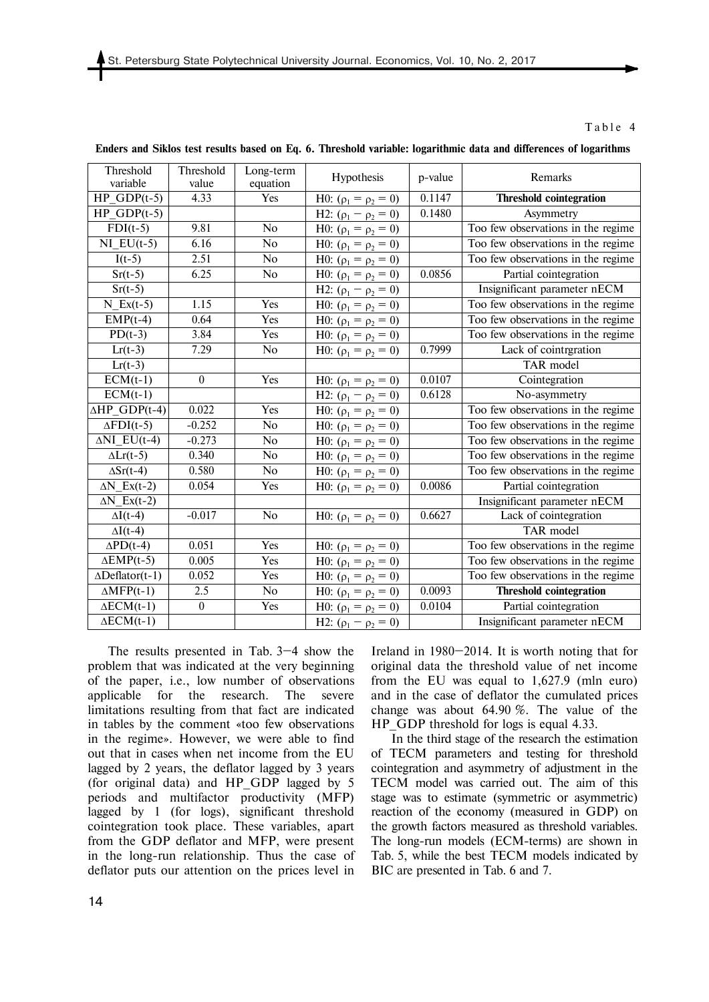| Threshold<br>variable            | Threshold<br>value | Long-term<br>equation | Hypothesis                  | p-value | Remarks                            |
|----------------------------------|--------------------|-----------------------|-----------------------------|---------|------------------------------------|
| $HP_GDP(t-5)$                    | 4.33               | Yes                   | H0: $(\rho_1 = \rho_2 = 0)$ | 0.1147  | <b>Threshold cointegration</b>     |
| $HP$ GDP $(t-5)$                 |                    |                       | H2: $(\rho_1 - \rho_2 = 0)$ | 0.1480  | Asymmetry                          |
| $FDI(t-5)$                       | 9.81               | No                    | H0: $(\rho_1 = \rho_2 = 0)$ |         | Too few observations in the regime |
| $NI$ EU(t-5)                     | 6.16               | N <sub>o</sub>        | H0: $(\rho_1 = \rho_2 = 0)$ |         | Too few observations in the regime |
| $I(t-5)$                         | 2.51               | No                    | H0: $(\rho_1 = \rho_2 = 0)$ |         | Too few observations in the regime |
| $Sr(t-5)$                        | 6.25               | No                    | H0: $(\rho_1 = \rho_2 = 0)$ | 0.0856  | Partial cointegration              |
| $Sr(t-5)$                        |                    |                       | H2: $(\rho_1 - \rho_2 = 0)$ |         | Insignificant parameter nECM       |
| $N_{\_Ex(t-5)}$                  | 1.15               | Yes                   | H0: $(\rho_1 = \rho_2 = 0)$ |         | Too few observations in the regime |
| $EMP(t-4)$                       | 0.64               | Yes                   | H0: $(\rho_1 = \rho_2 = 0)$ |         | Too few observations in the regime |
| $PD(t-3)$                        | 3.84               | Yes                   | H0: $(\rho_1 = \rho_2 = 0)$ |         | Too few observations in the regime |
| $Lr(t-3)$                        | 7.29               | No                    | H0: $(\rho_1 = \rho_2 = 0)$ | 0.7999  | Lack of cointrgration              |
| $Lr(t-3)$                        |                    |                       |                             |         | TAR model                          |
| $ECM(t-1)$                       | $\theta$           | Yes                   | H0: $(\rho_1 = \rho_2 = 0)$ | 0.0107  | Cointegration                      |
| $ECM(t-1)$                       |                    |                       | H2: $(\rho_1 - \rho_2 = 0)$ | 0.6128  | No-asymmetry                       |
| $\triangle HP$ GDP(t-4)          | 0.022              | Yes                   | H0: $(\rho_1 = \rho_2 = 0)$ |         | Too few observations in the regime |
| $\Delta$ FDI(t-5)                | $-0.252$           | No                    | H0: $(\rho_1 = \rho_2 = 0)$ |         | Too few observations in the regime |
| $\triangle NI$ EU(t-4)           | $-0.273$           | No                    | H0: $(\rho_1 = \rho_2 = 0)$ |         | Too few observations in the regime |
| $\Delta Lr(t-5)$                 | 0.340              | No                    | H0: $(\rho_1 = \rho_2 = 0)$ |         | Too few observations in the regime |
| $\Delta S r(t-4)$                | 0.580              | No                    | H0: $(\rho_1 = \rho_2 = 0)$ |         | Too few observations in the regime |
| $\Delta N$ _Ex(t-2)              | 0.054              | Yes                   | H0: $(\rho_1 = \rho_2 = 0)$ | 0.0086  | Partial cointegration              |
| $\Delta N$ Ex(t-2)               |                    |                       |                             |         | Insignificant parameter nECM       |
| $\Delta I(t-4)$                  | $-0.017$           | No                    | H0: $(\rho_1 = \rho_2 = 0)$ | 0.6627  | Lack of cointegration              |
| $\Delta I(t-4)$                  |                    |                       |                             |         | TAR model                          |
| $\Delta \text{PD}(t-4)$          | 0.051              | Yes                   | H0: $(\rho_1 = \rho_2 = 0)$ |         | Too few observations in the regime |
| $\triangle EMP(t-5)$             | 0.005              | Yes                   | H0: $(\rho_1 = \rho_2 = 0)$ |         | Too few observations in the regime |
| $\triangle$ Deflator(t-1)        | 0.052              | Yes                   | H0: $(\rho_1 = \rho_2 = 0)$ |         | Too few observations in the regime |
| $\triangle MFP(t-1)$             | 2.5                | No                    | H0: $(\rho_1 = \rho_2 = 0)$ | 0.0093  | <b>Threshold cointegration</b>     |
| $\overline{\triangle ECM}$ (t-1) | $\boldsymbol{0}$   | Yes                   | H0: $(\rho_1 = \rho_2 = 0)$ | 0.0104  | Partial cointegration              |
| $\triangle ECM(t-1)$             |                    |                       | H2: $(\rho_1 - \rho_2 = 0)$ |         | Insignificant parameter nECM       |

**Enders and Siklos test results based on Eq. 6. Threshold variable: logarithmic data and differences of logarithms** 

The results presented in Tab. 3—4 show the problem that was indicated at the very beginning of the paper, i.e., low number of observations applicable for the research. The severe limitations resulting from that fact are indicated in tables by the comment «too few observations in the regime». However, we were able to find out that in cases when net income from the EU lagged by 2 years, the deflator lagged by 3 years (for original data) and HP\_GDP lagged by 5 periods and multifactor productivity (MFP) lagged by 1 (for logs), significant threshold cointegration took place. These variables, apart from the GDP deflator and MFP, were present in the long-run relationship. Thus the case of deflator puts our attention on the prices level in

Ireland in 1980—2014. It is worth noting that for original data the threshold value of net income from the EU was equal to 1,627.9 (mln euro) and in the case of deflator the cumulated prices change was about 64.90 %. The value of the HP GDP threshold for logs is equal 4.33.

In the third stage of the research the estimation of TECM parameters and testing for threshold cointegration and asymmetry of adjustment in the TECM model was carried out. The aim of this stage was to estimate (symmetric or asymmetric) reaction of the economy (measured in GDP) on the growth factors measured as threshold variables. The long-run models (ECM-terms) are shown in Tab. 5, while the best TECM models indicated by BIC are presented in Tab. 6 and 7.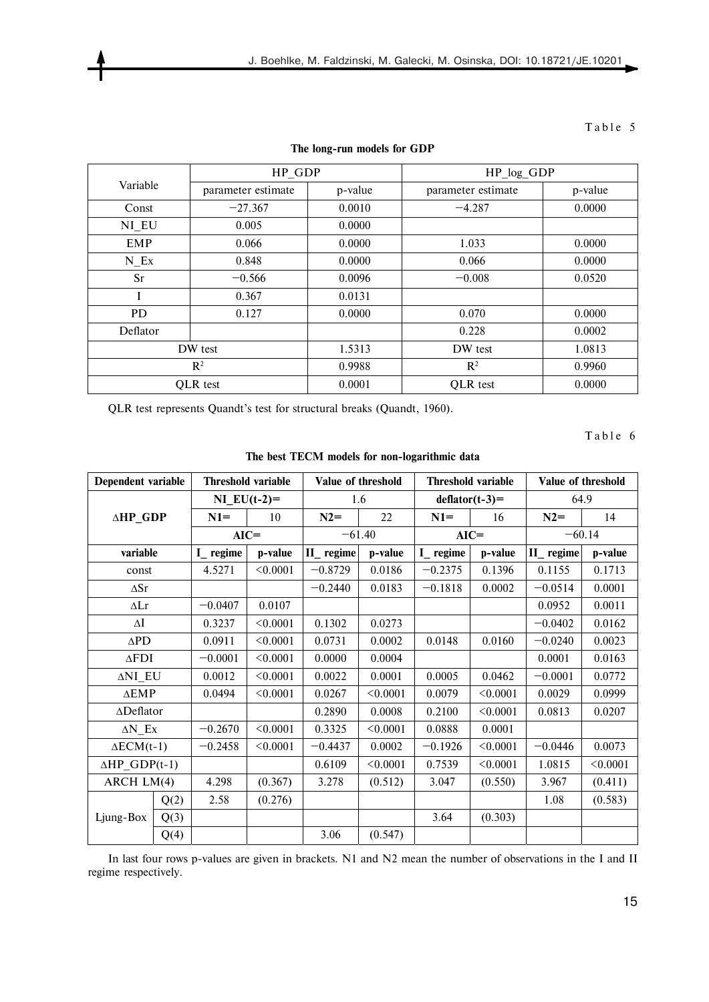|                | HP GDP             |         | HP_log_GDP         |         |  |
|----------------|--------------------|---------|--------------------|---------|--|
| Variable       | parameter estimate | p-value | parameter estimate | p-value |  |
| Const          | $-27.367$          | 0.0010  | $-4.287$           | 0.0000  |  |
| NI EU          | 0.005              | 0.0000  |                    |         |  |
| <b>EMP</b>     | 0.066              | 0.0000  | 1.033              | 0.0000  |  |
| N Ex           | 0.848              | 0.0000  | 0.066              | 0.0000  |  |
| Sr             | $-0.566$           | 0.0096  | $-0.008$           | 0.0520  |  |
|                | 0.367              | 0.0131  |                    |         |  |
| <b>PD</b>      | 0.127              | 0.0000  | 0.070              | 0.0000  |  |
| Deflator       |                    |         | 0.228              | 0.0002  |  |
| DW test        |                    | 1.5313  | DW test            | 1.0813  |  |
| $\mathbb{R}^2$ |                    | 0.9988  | $R^2$              | 0.9960  |  |
| QLR test       |                    | 0.0001  | QLR test           | 0.0000  |  |

#### **The long-run models for GDP**

QLR test represents Quandt's test for structural breaks (Quandt, 1960).

Table 6

| Dependent variable      |      | Threshold variable |          | Value of threshold |          | Threshold variable |               | Value of threshold |          |  |
|-------------------------|------|--------------------|----------|--------------------|----------|--------------------|---------------|--------------------|----------|--|
|                         |      | NI $EU(t-2)=$      |          | 1.6                |          | $deflator(t-3)=$   |               | 64.9               |          |  |
| ∆HP_GDP                 |      | $N1=$              | 10       | $N2=$              | 22       | $N1=$              | 16            | $N2=$              | 14       |  |
|                         |      | $AIC =$            |          |                    | $-61.40$ |                    | $AIC =$       |                    | $-60.14$ |  |
| variable                |      | I_regime           | p-value  | II_regime          | p-value  | $I$ regime         | p-value       | II_regime          | p-value  |  |
| const                   |      | 4.5271             | < 0.0001 | $-0.8729$          | 0.0186   | $-0.2375$          | 0.1396        | 0.1155             | 0.1713   |  |
| $\Delta Sr$             |      |                    |          | $-0.2440$          | 0.0183   | $-0.1818$          | 0.0002        | $-0.0514$          | 0.0001   |  |
| $\Delta Lr$             |      | $-0.0407$          | 0.0107   |                    |          |                    |               | 0.0952             | 0.0011   |  |
| $\Delta I$              |      | 0.3237             | < 0.0001 | 0.1302             | 0.0273   |                    |               | $-0.0402$          | 0.0162   |  |
| $\Delta \text{PD}$      |      | 0.0911             | < 0.0001 | 0.0731             | 0.0002   | 0.0148             | 0.0160        | $-0.0240$          | 0.0023   |  |
| $\Delta \text{FDI}$     |      | $-0.0001$          | < 0.0001 | 0.0000             | 0.0004   |                    |               | 0.0001             | 0.0163   |  |
| ΔNI_EU                  |      | 0.0012             | < 0.0001 | 0.0022             | 0.0001   | 0.0005             | 0.0462        | $-0.0001$          | 0.0772   |  |
| $\triangle EMP$         |      | 0.0494             | < 0.0001 | 0.0267             | < 0.0001 | 0.0079             | < 0.0001      | 0.0029             | 0.0999   |  |
| ∆Deflator               |      |                    |          | 0.2890             | 0.0008   | 0.2100             | < 0.0001      | 0.0813             | 0.0207   |  |
| $\Delta N$ Ex           |      | $-0.2670$          | < 0.0001 | 0.3325             | < 0.0001 | 0.0888             | 0.0001        |                    |          |  |
| $\triangle ECM(t-1)$    |      | $-0.2458$          | < 0.0001 | $-0.4437$          | 0.0002   | $-0.1926$          | $\leq 0.0001$ | $-0.0446$          | 0.0073   |  |
| $\triangle HP_GDP(t-1)$ |      |                    |          | 0.6109             | < 0.0001 | 0.7539             | < 0.0001      | 1.0815             | < 0.0001 |  |
| ARCH LM(4)              |      | 4.298              | (0.367)  | 3.278              | (0.512)  | 3.047              | (0.550)       | 3.967              | (0.411)  |  |
|                         | Q(2) | 2.58               | (0.276)  |                    |          |                    |               | 1.08               | (0.583)  |  |
| Ljung-Box               | Q(3) |                    |          |                    |          | 3.64               | (0.303)       |                    |          |  |
|                         | Q(4) |                    |          | 3.06               | (0.547)  |                    |               |                    |          |  |

**The best TECM models for non-logarithmic data** 

In last four rows p-values are given in brackets. N1 and N2 mean the number of observations in the I and II regime respectively.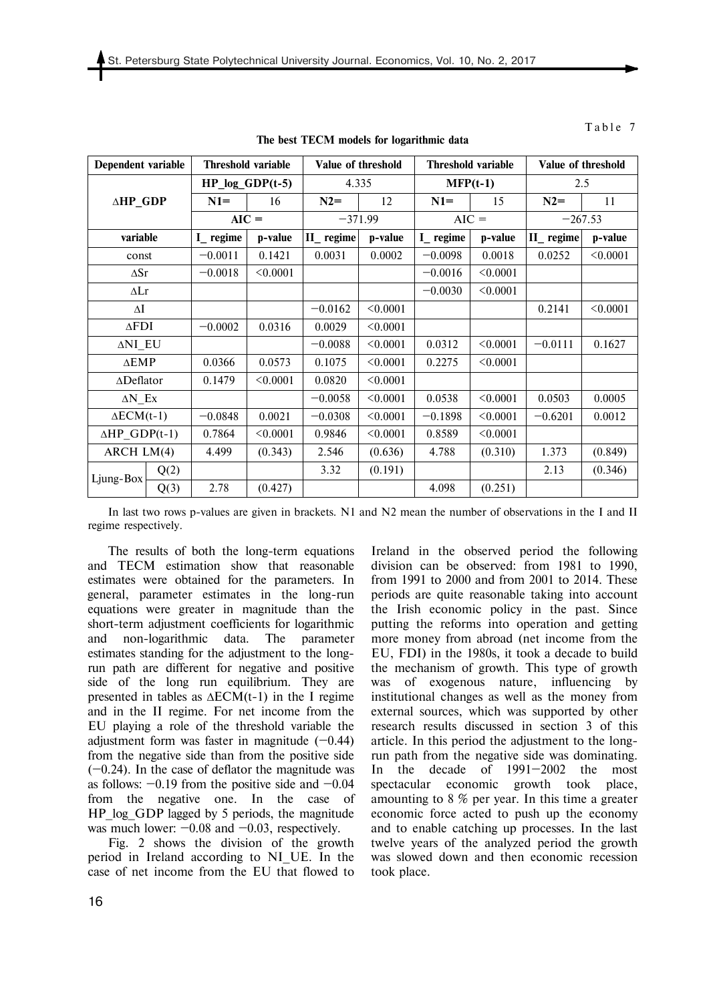| Dependent variable      |      | Threshold variable |          |           | Value of threshold |            | Threshold variable |           | Value of threshold |  |
|-------------------------|------|--------------------|----------|-----------|--------------------|------------|--------------------|-----------|--------------------|--|
|                         |      | $HP_log_GDP(t-5)$  |          | 4.335     |                    | $MFP(t-1)$ |                    | 2.5       |                    |  |
| ∆HP_GDP                 |      | $N1=$              | 16       | $N2=$     | 12                 | $N1=$      | 15                 | $N2=$     | 11                 |  |
|                         |      | $AIC =$            |          |           | $-371.99$          |            | $AIC =$            |           | $-267.53$          |  |
| variable                |      | I_regime           | p-value  | II_regime | p-value            | $I$ regime | p-value            | II_regime | p-value            |  |
| const                   |      | $-0.0011$          | 0.1421   | 0.0031    | 0.0002             | $-0.0098$  | 0.0018             | 0.0252    | < 0.0001           |  |
| $\Delta Sr$             |      | $-0.0018$          | < 0.0001 |           |                    | $-0.0016$  | < 0.0001           |           |                    |  |
| $\Delta Lr$             |      |                    |          |           |                    | $-0.0030$  | < 0.0001           |           |                    |  |
| ΔI                      |      |                    |          | $-0.0162$ | < 0.0001           |            |                    | 0.2141    | < 0.0001           |  |
| $\Delta$ FDI            |      | $-0.0002$          | 0.0316   | 0.0029    | < 0.0001           |            |                    |           |                    |  |
| ANI EU                  |      |                    |          | $-0.0088$ | < 0.0001           | 0.0312     | < 0.0001           | $-0.0111$ | 0.1627             |  |
| $\triangle EMP$         |      | 0.0366             | 0.0573   | 0.1075    | < 0.0001           | 0.2275     | < 0.0001           |           |                    |  |
| $\triangle$ Deflator    |      | 0.1479             | < 0.0001 | 0.0820    | < 0.0001           |            |                    |           |                    |  |
| $\Delta N$ Ex           |      |                    |          | $-0.0058$ | < 0.0001           | 0.0538     | < 0.0001           | 0.0503    | 0.0005             |  |
| $\triangle ECM(t-1)$    |      | $-0.0848$          | 0.0021   | $-0.0308$ | < 0.0001           | $-0.1898$  | < 0.0001           | $-0.6201$ | 0.0012             |  |
| $\triangle HP_GDP(t-1)$ |      | 0.7864             | < 0.0001 | 0.9846    | < 0.0001           | 0.8589     | < 0.0001           |           |                    |  |
| ARCH $LM(4)$            |      | 4.499              | (0.343)  | 2.546     | (0.636)            | 4.788      | (0.310)            | 1.373     | (0.849)            |  |
|                         | Q(2) |                    |          | 3.32      | (0.191)            |            |                    | 2.13      | (0.346)            |  |
| Ljung-Box               | Q(3) | 2.78               | (0.427)  |           |                    | 4.098      | (0.251)            |           |                    |  |

**The best TECM models for logarithmic data** 

In last two rows p-values are given in brackets. N1 and N2 mean the number of observations in the I and II regime respectively.

The results of both the long-term equations and TECM estimation show that reasonable estimates were obtained for the parameters. In general, parameter estimates in the long-run equations were greater in magnitude than the short-term adjustment coefficients for logarithmic and non-logarithmic data. The parameter estimates standing for the adjustment to the longrun path are different for negative and positive side of the long run equilibrium. They are presented in tables as ∆ECM(t-1) in the I regime and in the II regime. For net income from the EU playing a role of the threshold variable the adjustment form was faster in magnitude  $(-0.44)$ from the negative side than from the positive side  $(-0.24)$ . In the case of deflator the magnitude was as follows:  $-0.19$  from the positive side and  $-0.04$ from the negative one. In the case of HP log GDP lagged by 5 periods, the magnitude was much lower:  $-0.08$  and  $-0.03$ , respectively.

Fig. 2 shows the division of the growth period in Ireland according to NI\_UE. In the case of net income from the EU that flowed to Ireland in the observed period the following division can be observed: from 1981 to 1990, from 1991 to 2000 and from 2001 to 2014. These periods are quite reasonable taking into account the Irish economic policy in the past. Since putting the reforms into operation and getting more money from abroad (net income from the EU, FDI) in the 1980s, it took a decade to build the mechanism of growth. This type of growth was of exogenous nature, influencing by institutional changes as well as the money from external sources, which was supported by other research results discussed in section 3 of this article. In this period the adjustment to the longrun path from the negative side was dominating. In the decade of 1991—2002 the most spectacular economic growth took place, amounting to 8 % per year. In this time a greater economic force acted to push up the economy and to enable catching up processes. In the last twelve years of the analyzed period the growth was slowed down and then economic recession took place.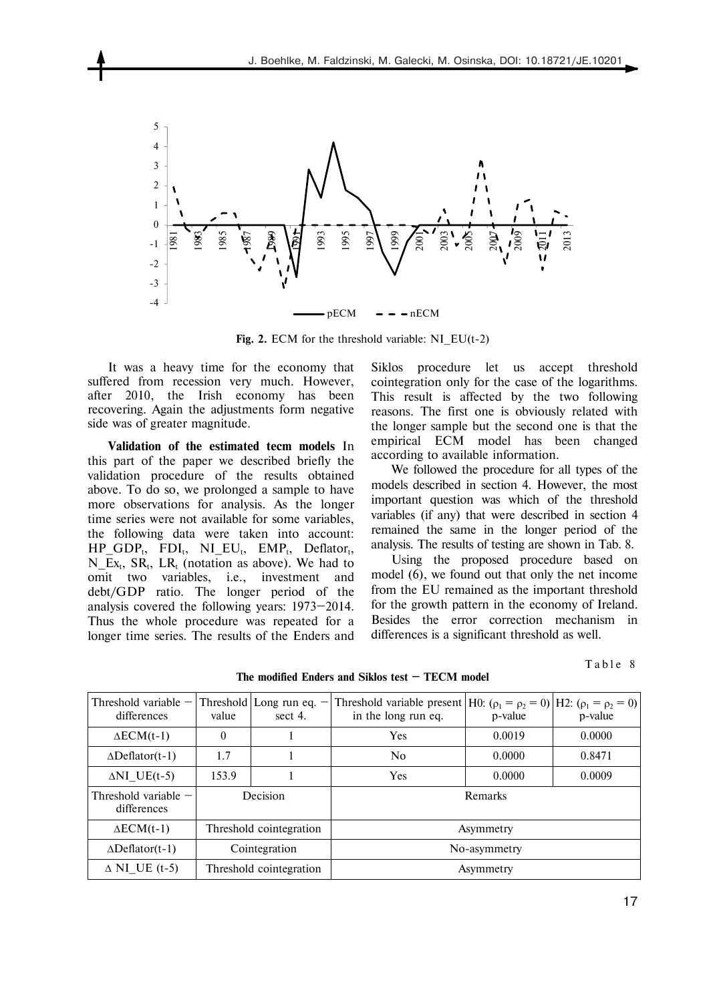

**Fig. 2.** ECM for the threshold variable: NI\_EU(t-2)

It was a heavy time for the economy that suffered from recession very much. However, after 2010, the Irish economy has been recovering. Again the adjustments form negative side was of greater magnitude.

**Validation of the estimated tecm models** In this part of the paper we described briefly the validation procedure of the results obtained above. To do so, we prolonged a sample to have more observations for analysis. As the longer time series were not available for some variables, the following data were taken into account:  $HP\_GDP_t$ ,  $FDI_t$ ,  $NI\_EU_t$ ,  $EMP_t$ ,  $Deflator_t$ ,  $N_{\text{L}}Ex_t$ ,  $SR_t$ ,  $LR_t$  (notation as above). We had to omit two variables, i.e., investment and debt/GDP ratio. The longer period of the analysis covered the following years: 1973—2014. Thus the whole procedure was repeated for a longer time series. The results of the Enders and

Siklos procedure let us accept threshold cointegration only for the case of the logarithms. This result is affected by the two following reasons. The first one is obviously related with the longer sample but the second one is that the empirical ECM model has been changed according to available information.

We followed the procedure for all types of the models described in section 4. However, the most important question was which of the threshold variables (if any) that were described in section 4 remained the same in the longer period of the analysis. The results of testing are shown in Tab. 8.

Using the proposed procedure based on model (6), we found out that only the net income from the EU remained as the important threshold for the growth pattern in the economy of Ireland. Besides the error correction mechanism in differences is a significant threshold as well.

Table 8

| Threshold variable $-$<br>differences | value    | Threshold Long run eq. $-$<br>sect 4. | Threshold variable present   H0: $(\rho_1 = \rho_2 = 0)$   H2: $(\rho_1 = \rho_2 = 0)$  <br>in the long run eq. | p-value | p-value |
|---------------------------------------|----------|---------------------------------------|-----------------------------------------------------------------------------------------------------------------|---------|---------|
| $\triangle ECM(t-1)$                  | $\theta$ |                                       | <b>Yes</b>                                                                                                      | 0.0019  | 0.0000  |
| $\Delta$ Deflator(t-1)                | 1.7      |                                       | No                                                                                                              | 0.0000  | 0.8471  |
| $\triangle NI$ UE(t-5)                | 153.9    |                                       | <b>Yes</b>                                                                                                      | 0.0000  | 0.0009  |
| Threshold variable $-$<br>differences |          | Decision                              |                                                                                                                 | Remarks |         |
| $\triangle ECM(t-1)$                  |          | Threshold cointegration<br>Asymmetry  |                                                                                                                 |         |         |
| $\Delta$ Deflator(t-1)                |          | Cointegration                         | No-asymmetry                                                                                                    |         |         |
| $\triangle$ NI UE (t-5)               |          | Threshold cointegration               | Asymmetry                                                                                                       |         |         |

**The modified Enders and Siklos test — TECM model**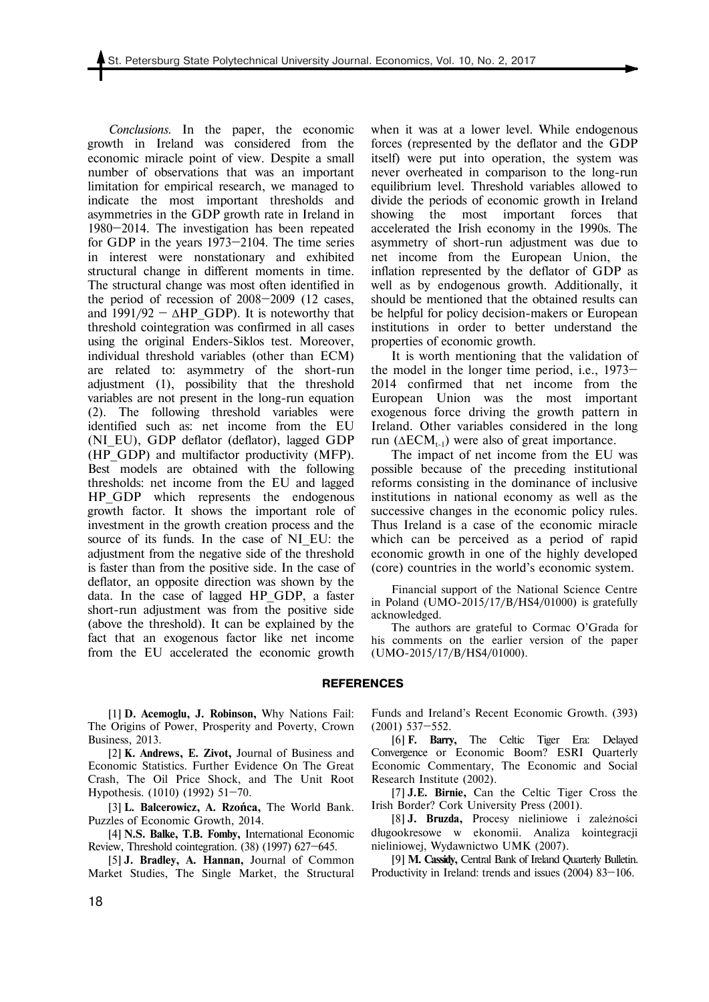*Conclusions.* In the paper, the economic growth in Ireland was considered from the economic miracle point of view. Despite a small number of observations that was an important limitation for empirical research, we managed to indicate the most important thresholds and asymmetries in the GDP growth rate in Ireland in 1980—2014. The investigation has been repeated for GDP in the years 1973—2104. The time series in interest were nonstationary and exhibited structural change in different moments in time. The structural change was most often identified in the period of recession of 2008—2009 (12 cases, and  $1991/92 - \Delta HP$  GDP). It is noteworthy that threshold cointegration was confirmed in all cases using the original Enders-Siklos test. Moreover, individual threshold variables (other than ECM) are related to: asymmetry of the short-run adjustment (1), possibility that the threshold variables are not present in the long-run equation (2). The following threshold variables were identified such as: net income from the EU (NI\_EU), GDP deflator (deflator), lagged GDP (HP\_GDP) and multifactor productivity (MFP). Best models are obtained with the following thresholds: net income from the EU and lagged HP GDP which represents the endogenous growth factor. It shows the important role of investment in the growth creation process and the source of its funds. In the case of NI EU: the adjustment from the negative side of the threshold is faster than from the positive side. In the case of deflator, an opposite direction was shown by the data. In the case of lagged HP\_GDP, a faster short-run adjustment was from the positive side (above the threshold). It can be explained by the fact that an exogenous factor like net income from the EU accelerated the economic growth

when it was at a lower level. While endogenous forces (represented by the deflator and the GDP itself) were put into operation, the system was never overheated in comparison to the long-run equilibrium level. Threshold variables allowed to divide the periods of economic growth in Ireland showing the most important forces that accelerated the Irish economy in the 1990s. The asymmetry of short-run adjustment was due to net income from the European Union, the inflation represented by the deflator of GDP as well as by endogenous growth. Additionally, it should be mentioned that the obtained results can be helpful for policy decision-makers or European institutions in order to better understand the properties of economic growth.

It is worth mentioning that the validation of the model in the longer time period, i.e., 1973— 2014 confirmed that net income from the European Union was the most important exogenous force driving the growth pattern in Ireland. Other variables considered in the long run ( $\triangle ECM_{t-1}$ ) were also of great importance.

The impact of net income from the EU was possible because of the preceding institutional reforms consisting in the dominance of inclusive institutions in national economy as well as the successive changes in the economic policy rules. Thus Ireland is a case of the economic miracle which can be perceived as a period of rapid economic growth in one of the highly developed (core) countries in the world's economic system.

Financial support of the National Science Centre in Poland (UMO-2015/17/B/HS4/01000) is gratefully acknowledged.

The authors are grateful to Cormac O'Grada for his comments on the earlier version of the paper (UMO-2015/17/B/HS4/01000).

#### **REFERENCES**

[1] **D. Acemoglu, J. Robinson,** Why Nations Fail: The Origins of Power, Prosperity and Poverty, Crown Business, 2013.

[2] **K. Andrews, E. Zivot,** Journal of Business and Economic Statistics. Further Evidence On The Great Crash, The Oil Price Shock, and The Unit Root Hypothesis. (1010) (1992) 51—70.

[3] **L. Balcerowicz, A. Rzońca,** The World Bank. Puzzles of Economic Growth, 2014.

[4] **N.S. Balke, T.B. Fomby,** International Economic Review, Threshold cointegration. (38) (1997) 627—645.

[5] **J. Bradley, A. Hannan,** Journal of Common Market Studies, The Single Market, the Structural Funds and Ireland's Recent Economic Growth. (393) (2001) 537—552.

[6] **F. Barry,** The Celtic Tiger Era: Delayed Convergence or Economic Boom? ESRI Quarterly Economic Commentary, The Economic and Social Research Institute (2002).

[7] **J.E. Birnie,** Can the Celtic Tiger Cross the Irish Border? Cork University Press (2001).

[8] **J. Bruzda,** Procesy nieliniowe i zależności długookresowe w ekonomii. Analiza kointegracji nieliniowej, Wydawnictwo UMK (2007).

[9] **M. Cassidy,** Central Bank of Ireland Quarterly Bulletin. Productivity in Ireland: trends and issues (2004) 83—106.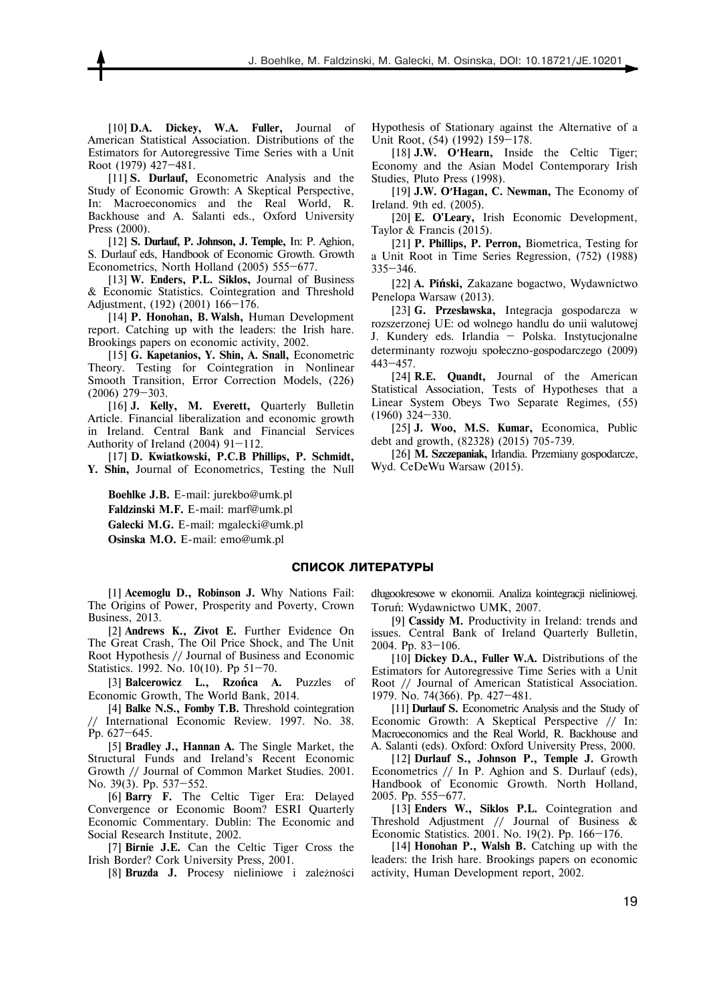[10] **D.A. Dickey, W.A. Fuller,** Journal of American Statistical Association. Distributions of the Estimators for Autoregressive Time Series with a Unit Root (1979) 427—481.

[11] **S. Durlauf,** Econometric Analysis and the Study of Economic Growth: A Skeptical Perspective, In: Macroeconomics and the Real World, R. Backhouse and A. Salanti eds., Oxford University Press (2000).

[12] **S. Durlauf, P. Johnson, J. Temple,** In: P. Aghion, S. Durlauf eds, Handbook of Economic Growth. Growth Econometrics, North Holland (2005) 555—677.

[13] **W. Enders, P.L. Siklos,** Journal of Business & Economic Statistics. Cointegration and Threshold Adjustment, (192) (2001) 166—176.

[14] **P. Honohan, В. Walsh,** Human Development report. Catching up with the leaders: the Irish hare. Brookings papers on economic activity, 2002.

[15] **G. Kapetanios, Y. Shin, A. Snall,** Econometric Theory. Testing for Cointegration in Nonlinear Smooth Transition, Error Correction Models, (226) (2006) 279—303.

[16] **J. Kelly, М. Everett,** Quarterly Bulletin Article. Financial liberalization and economic growth in Ireland. Central Bank and Financial Services Authority of Ireland (2004) 91—112.

[17] **D. Kwiatkowski, P.C.B Phillips, P. Schmidt, Y. Shin,** Journal of Econometrics, Testing the Null

**Boehlke J.B.** E-mail: jurekbo@umk.pl **Faldzinski M.F.** E-mail: marf@umk.pl **Galecki M.G.** E-mail: mgalecki@umk.pl **Osinska M.O.** E-mail: emo@umk.pl

Hypothesis of Stationary against the Alternative of a Unit Root, (54) (1992) 159—178.

[18] **J.W. O′Hearn,** Inside the Celtic Tiger; Economy and the Asian Model Contemporary Irish Studies, Pluto Press (1998).

[19] **J.W. O′Hagan, C. Newman,** The Economy of Ireland. 9th ed. (2005).

[20] **E. O'Leary,** Irish Economic Development, Taylor & Francis (2015).

[21] **P. Phillips, P. Perron,** Biometrica, Testing for a Unit Root in Time Series Regression, (752) (1988) 335—346.

[22] **A. Piński,** Zakazane bogactwo, Wydawnictwo Penelopa Warsaw (2013).

[23] **G. Przesławska,** Integracja gospodarcza w rozszerzonej UE: od wolnego handlu do unii walutowej J. Kundery eds. Irlandia — Polska. Instytucjonalne determinanty rozwoju społeczno-gospodarczego (2009) 443—457.

[24] **R.E. Quandt,** Journal of the American Statistical Association, Tests of Hypotheses that a Linear System Obeys Two Separate Regimes, (55) (1960) 324—330.

[25] **J. Woo, M.S. Kumar,** Economica, Public debt and growth, (82328) (2015) 705-739.

[26] **M. Szczepaniak,** Irlandia. Przemiany gospodarcze, Wyd. CeDeWu Warsaw (2015).

#### **СПИСОК ЛИТЕРАТУРЫ**

[1] **Acemoglu D., Robinson J.** Why Nations Fail: The Origins of Power, Prosperity and Poverty, Crown Business, 2013.

[2] **Andrews K., Zivot E.** Further Evidence On The Great Crash, The Oil Price Shock, and The Unit Root Hypothesis // Journal of Business and Economic Statistics. 1992. No. 10(10). Pp 51—70.

[3] **Balcerowicz L., Rzońca A.** Puzzles of Economic Growth, The World Bank, 2014.

[4] **Balke N.S., Fomby T.B.** Threshold cointegration International Economic Review. 1997. No. 38. Pp. 627—645.

[5] **Bradley J., Hannan A.** The Single Market, the Structural Funds and Ireland's Recent Economic Growth // Journal of Common Market Studies. 2001. No. 39(3). Pp. 537—552.

[6] **Barry F.** The Celtic Tiger Era: Delayed Convergence or Economic Boom? ESRI Quarterly Economic Commentary. Dublin: The Economic and Social Research Institute, 2002.

[7] **Birnie J.E.** Can the Celtic Tiger Cross the Irish Border? Cork University Press, 2001.

[8] **Bruzda J.** Procesy nieliniowe i zależności

długookresowe w ekonomii. Analiza kointegracji nieliniowej. Toruń: Wydawnictwo UMK, 2007.

[9] **Cassidy M.** Productivity in Ireland: trends and issues. Central Bank of Ireland Quarterly Bulletin, 2004. Pp. 83—106.

[10] **Dickey D.A., Fuller W.A.** Distributions of the Estimators for Autoregressive Time Series with a Unit Root // Journal of American Statistical Association. 1979. No. 74(366). Pp. 427—481.

[11] **Durlauf S.** Econometric Analysis and the Study of Economic Growth: A Skeptical Perspective // In: Macroeconomics and the Real World, R. Backhouse and A. Salanti (eds). Oxford: Oxford University Press, 2000.

[12] **Durlauf S., Johnson P., Temple J.** Growth Econometrics // In P. Aghion and S. Durlauf (eds), Handbook of Economic Growth. North Holland, 2005. Pp. 555—677.

[13] **Enders W., Siklos P.L.** Cointegration and Threshold Adjustment // Journal of Business & Economic Statistics. 2001. No. 19(2). Pp. 166—176.

[14] **Honohan P., Walsh B.** Catching up with the leaders: the Irish hare. Brookings papers on economic activity, Human Development report, 2002.